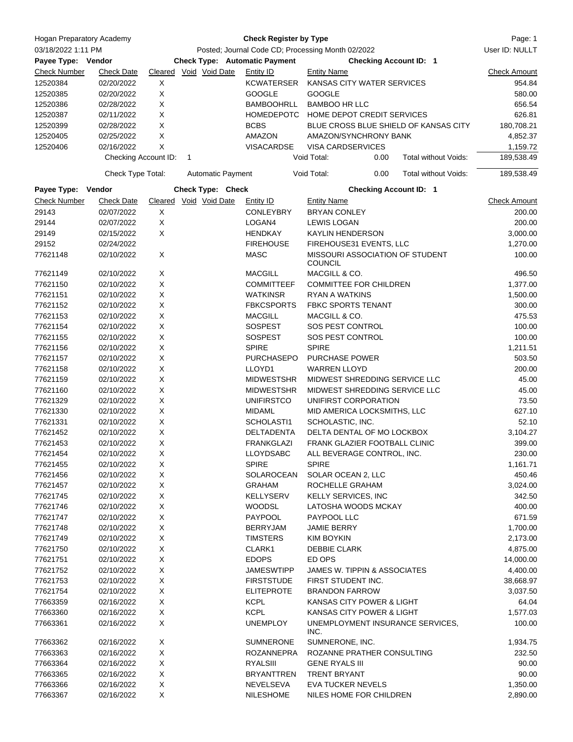| <b>Hogan Preparatory Academy</b> |                                    |                                      | Page: 1        |                          |                                                                                    |                                                   |                               |                                       |                        |
|----------------------------------|------------------------------------|--------------------------------------|----------------|--------------------------|------------------------------------------------------------------------------------|---------------------------------------------------|-------------------------------|---------------------------------------|------------------------|
| 03/18/2022 1:11 PM               |                                    |                                      | User ID: NULLT |                          |                                                                                    |                                                   |                               |                                       |                        |
| Payee Type: Vendor               |                                    | <b>Check Type: Automatic Payment</b> |                |                          | Posted; Journal Code CD; Processing Month 02/2022<br><b>Checking Account ID: 1</b> |                                                   |                               |                                       |                        |
| <b>Check Number</b>              | <b>Check Date</b>                  |                                      |                | Cleared Void Void Date   | Entity ID                                                                          | <b>Entity Name</b>                                |                               |                                       | <b>Check Amount</b>    |
| 12520384                         | 02/20/2022                         | Χ                                    |                |                          | KCWATERSER                                                                         |                                                   | KANSAS CITY WATER SERVICES    |                                       | 954.84                 |
| 12520385                         | 02/20/2022                         | X                                    |                |                          | <b>GOOGLE</b>                                                                      | <b>GOOGLE</b>                                     |                               |                                       | 580.00                 |
| 12520386                         | 02/28/2022                         | X                                    |                |                          | <b>BAMBOOHRLL</b>                                                                  | <b>BAMBOO HR LLC</b>                              |                               |                                       | 656.54                 |
| 12520387                         | 02/11/2022                         | X                                    |                |                          | HOMEDEPOTC                                                                         |                                                   | HOME DEPOT CREDIT SERVICES    |                                       | 626.81                 |
| 12520399                         | 02/28/2022                         | X                                    |                |                          | <b>BCBS</b>                                                                        |                                                   |                               | BLUE CROSS BLUE SHIELD OF KANSAS CITY | 180,708.21             |
|                                  | 02/25/2022                         | X                                    |                |                          |                                                                                    |                                                   |                               |                                       |                        |
| 12520405                         |                                    |                                      |                |                          | AMAZON                                                                             |                                                   | AMAZON/SYNCHRONY BANK         |                                       | 4,852.37               |
| 12520406                         | 02/16/2022<br>Checking Account ID: | X                                    | 1              |                          | <b>VISACARDSE</b>                                                                  | VISA CARDSERVICES<br>Void Total:                  | 0.00                          | <b>Total without Voids:</b>           | 1,159.72<br>189,538.49 |
|                                  | Check Type Total:                  |                                      |                | <b>Automatic Payment</b> |                                                                                    | Void Total:                                       | 0.00                          | Total without Voids:                  | 189,538.49             |
| Payee Type: Vendor               |                                    |                                      |                | Check Type: Check        |                                                                                    |                                                   | <b>Checking Account ID: 1</b> |                                       |                        |
| <b>Check Number</b>              | <b>Check Date</b>                  | Cleared Void Void Date               |                |                          | Entity ID                                                                          | <b>Entity Name</b>                                |                               |                                       | <b>Check Amount</b>    |
| 29143                            | 02/07/2022                         | X                                    |                |                          | <b>CONLEYBRY</b>                                                                   | <b>BRYAN CONLEY</b>                               |                               |                                       | 200.00                 |
|                                  |                                    |                                      |                |                          |                                                                                    |                                                   |                               |                                       |                        |
| 29144                            | 02/07/2022                         | X                                    |                |                          | LOGAN4                                                                             | <b>LEWIS LOGAN</b>                                |                               |                                       | 200.00                 |
| 29149                            | 02/15/2022                         | X                                    |                |                          | <b>HENDKAY</b>                                                                     | <b>KAYLIN HENDERSON</b>                           |                               |                                       | 3,000.00               |
| 29152                            | 02/24/2022                         |                                      |                |                          | <b>FIREHOUSE</b>                                                                   |                                                   | FIREHOUSE31 EVENTS, LLC       |                                       | 1,270.00               |
| 77621148                         | 02/10/2022                         | X                                    |                |                          | <b>MASC</b>                                                                        | MISSOURI ASSOCIATION OF STUDENT<br><b>COUNCIL</b> |                               |                                       | 100.00                 |
| 77621149                         | 02/10/2022                         | Χ                                    |                |                          | <b>MACGILL</b>                                                                     | MACGILL & CO.                                     |                               |                                       | 496.50                 |
| 77621150                         | 02/10/2022                         | X                                    |                |                          | <b>COMMITTEEF</b>                                                                  |                                                   | <b>COMMITTEE FOR CHILDREN</b> |                                       | 1,377.00               |
| 77621151                         | 02/10/2022                         | X                                    |                |                          | <b>WATKINSR</b>                                                                    | <b>RYAN A WATKINS</b>                             |                               |                                       | 1,500.00               |
| 77621152                         | 02/10/2022                         | X                                    |                |                          | <b>FBKCSPORTS</b>                                                                  |                                                   | <b>FBKC SPORTS TENANT</b>     |                                       | 300.00                 |
| 77621153                         | 02/10/2022                         | X                                    |                |                          | <b>MACGILL</b>                                                                     | MACGILL & CO.                                     |                               |                                       | 475.53                 |
| 77621154                         | 02/10/2022                         | X                                    |                |                          | <b>SOSPEST</b>                                                                     | SOS PEST CONTROL                                  |                               |                                       | 100.00                 |
| 77621155                         | 02/10/2022                         | X                                    |                |                          | <b>SOSPEST</b>                                                                     | SOS PEST CONTROL                                  |                               |                                       | 100.00                 |
|                                  |                                    |                                      |                |                          |                                                                                    |                                                   |                               |                                       |                        |
| 77621156                         | 02/10/2022                         | Χ                                    |                |                          | <b>SPIRE</b>                                                                       | <b>SPIRE</b>                                      |                               |                                       | 1,211.51               |
| 77621157                         | 02/10/2022                         | X                                    |                |                          | <b>PURCHASEPO</b>                                                                  | PURCHASE POWER                                    |                               |                                       | 503.50                 |
| 77621158                         | 02/10/2022                         | X                                    |                |                          | LLOYD1                                                                             | <b>WARREN LLOYD</b>                               |                               |                                       | 200.00                 |
| 77621159                         | 02/10/2022                         | X                                    |                |                          | <b>MIDWESTSHR</b>                                                                  |                                                   | MIDWEST SHREDDING SERVICE LLC |                                       | 45.00                  |
| 77621160                         | 02/10/2022                         | X                                    |                |                          | <b>MIDWESTSHR</b>                                                                  |                                                   | MIDWEST SHREDDING SERVICE LLC |                                       | 45.00                  |
| 77621329                         | 02/10/2022                         | X                                    |                |                          | <b>UNIFIRSTCO</b>                                                                  |                                                   | UNIFIRST CORPORATION          |                                       | 73.50                  |
| 77621330                         | 02/10/2022                         | X                                    |                |                          | <b>MIDAML</b>                                                                      |                                                   | MID AMERICA LOCKSMITHS, LLC   |                                       | 627.10                 |
| 77621331                         | 02/10/2022                         | X                                    |                |                          | SCHOLASTI1                                                                         | SCHOLASTIC, INC.                                  |                               |                                       | 52.10                  |
| 77621452                         | 02/10/2022                         | X                                    |                |                          | DELTADENTA                                                                         |                                                   | DELTA DENTAL OF MO LOCKBOX    |                                       | 3,104.27               |
| 77621453                         | 02/10/2022                         | X                                    |                |                          | <b>FRANKGLAZI</b>                                                                  |                                                   | FRANK GLAZIER FOOTBALL CLINIC |                                       | 399.00                 |
| 77621454                         | 02/10/2022                         | X                                    |                |                          | <b>LLOYDSABC</b>                                                                   |                                                   | ALL BEVERAGE CONTROL, INC.    |                                       | 230.00                 |
| 77621455                         | 02/10/2022                         | X                                    |                |                          | <b>SPIRE</b>                                                                       | <b>SPIRE</b>                                      |                               |                                       | 1,161.71               |
| 77621456                         | 02/10/2022                         | X                                    |                |                          | SOLAROCEAN                                                                         | SOLAR OCEAN 2, LLC                                |                               |                                       | 450.46                 |
| 77621457                         | 02/10/2022                         | X                                    |                |                          | <b>GRAHAM</b>                                                                      | ROCHELLE GRAHAM                                   |                               |                                       | 3,024.00               |
| 77621745                         | 02/10/2022                         | X                                    |                |                          | <b>KELLYSERV</b>                                                                   |                                                   | KELLY SERVICES, INC           |                                       | 342.50                 |
| 77621746                         | 02/10/2022                         | X                                    |                |                          | <b>WOODSL</b>                                                                      |                                                   | LATOSHA WOODS MCKAY           |                                       | 400.00                 |
| 77621747                         | 02/10/2022                         | X                                    |                |                          | PAYPOOL                                                                            | PAYPOOL LLC                                       |                               |                                       | 671.59                 |
|                                  |                                    |                                      |                |                          |                                                                                    |                                                   |                               |                                       |                        |
| 77621748                         | 02/10/2022                         | X                                    |                |                          | <b>BERRYJAM</b>                                                                    | <b>JAMIE BERRY</b>                                |                               |                                       | 1,700.00               |
| 77621749                         | 02/10/2022                         | X                                    |                |                          | <b>TIMSTERS</b>                                                                    | <b>KIM BOYKIN</b>                                 |                               |                                       | 2,173.00               |
| 77621750                         | 02/10/2022                         | X                                    |                |                          | CLARK1                                                                             | <b>DEBBIE CLARK</b>                               |                               |                                       | 4,875.00               |
| 77621751                         | 02/10/2022                         | X                                    |                |                          | <b>EDOPS</b>                                                                       | ED OPS                                            |                               |                                       | 14,000.00              |
| 77621752                         | 02/10/2022                         | X                                    |                |                          | <b>JAMESWTIPP</b>                                                                  |                                                   | JAMES W. TIPPIN & ASSOCIATES  |                                       | 4,400.00               |
| 77621753                         | 02/10/2022                         | X                                    |                |                          | <b>FIRSTSTUDE</b>                                                                  | FIRST STUDENT INC.                                |                               |                                       | 38,668.97              |
| 77621754                         | 02/10/2022                         | X                                    |                |                          | <b>ELITEPROTE</b>                                                                  | <b>BRANDON FARROW</b>                             |                               |                                       | 3,037.50               |
| 77663359                         | 02/16/2022                         | X                                    |                |                          | <b>KCPL</b>                                                                        |                                                   | KANSAS CITY POWER & LIGHT     |                                       | 64.04                  |
| 77663360                         | 02/16/2022                         | X                                    |                |                          | <b>KCPL</b>                                                                        |                                                   | KANSAS CITY POWER & LIGHT     |                                       | 1,577.03               |
| 77663361                         | 02/16/2022                         | X                                    |                |                          | <b>UNEMPLOY</b>                                                                    | INC.                                              |                               | UNEMPLOYMENT INSURANCE SERVICES,      | 100.00                 |
| 77663362                         | 02/16/2022                         | X                                    |                |                          | <b>SUMNERONE</b>                                                                   | SUMNERONE, INC.                                   |                               |                                       | 1,934.75               |
| 77663363                         | 02/16/2022                         | X                                    |                |                          | ROZANNEPRA                                                                         |                                                   | ROZANNE PRATHER CONSULTING    |                                       | 232.50                 |
| 77663364                         | 02/16/2022                         | X                                    |                |                          | RYALSIII                                                                           | <b>GENE RYALS III</b>                             |                               |                                       | 90.00                  |
| 77663365                         | 02/16/2022                         | X                                    |                |                          | <b>BRYANTTREN</b>                                                                  | <b>TRENT BRYANT</b>                               |                               |                                       | 90.00                  |
| 77663366                         | 02/16/2022                         | X                                    |                |                          | NEVELSEVA                                                                          |                                                   | <b>EVA TUCKER NEVELS</b>      |                                       | 1,350.00               |
| 77663367                         | 02/16/2022                         | X                                    |                |                          | <b>NILESHOME</b>                                                                   |                                                   | NILES HOME FOR CHILDREN       |                                       | 2,890.00               |
|                                  |                                    |                                      |                |                          |                                                                                    |                                                   |                               |                                       |                        |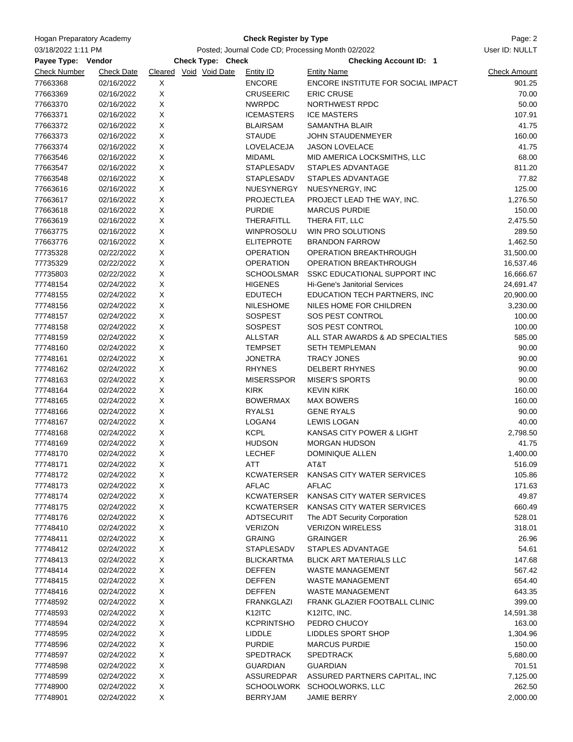| Hogan Preparatory Academy<br>03/18/2022 1:11 PM<br>Payee Type: Vendor |                   |             | Page: 2                                     |                   |                                                     |                     |
|-----------------------------------------------------------------------|-------------------|-------------|---------------------------------------------|-------------------|-----------------------------------------------------|---------------------|
|                                                                       |                   |             | User ID: NULLT                              |                   |                                                     |                     |
| <b>Check Number</b>                                                   | <b>Check Date</b> |             | Check Type: Check<br>Cleared Void Void Date | Entity ID         | <b>Checking Account ID: 1</b><br><b>Entity Name</b> | <b>Check Amount</b> |
| 77663368                                                              | 02/16/2022        | X           |                                             | <b>ENCORE</b>     | ENCORE INSTITUTE FOR SOCIAL IMPACT                  | 901.25              |
| 77663369                                                              | 02/16/2022        | $\mathsf X$ |                                             | <b>CRUSEERIC</b>  | <b>ERIC CRUSE</b>                                   | 70.00               |
| 77663370                                                              | 02/16/2022        | Χ           |                                             | <b>NWRPDC</b>     | NORTHWEST RPDC                                      | 50.00               |
| 77663371                                                              | 02/16/2022        | X           |                                             | <b>ICEMASTERS</b> | <b>ICE MASTERS</b>                                  | 107.91              |
| 77663372                                                              | 02/16/2022        | Χ           |                                             | <b>BLAIRSAM</b>   | <b>SAMANTHA BLAIR</b>                               | 41.75               |
| 77663373                                                              | 02/16/2022        | X           |                                             | <b>STAUDE</b>     | JOHN STAUDENMEYER                                   | 160.00              |
| 77663374                                                              | 02/16/2022        | X           |                                             | LOVELACEJA        | <b>JASON LOVELACE</b>                               | 41.75               |
| 77663546                                                              | 02/16/2022        | X           |                                             | <b>MIDAML</b>     | MID AMERICA LOCKSMITHS, LLC                         | 68.00               |
| 77663547                                                              | 02/16/2022        | X           |                                             | <b>STAPLESADV</b> | STAPLES ADVANTAGE                                   | 811.20              |
| 77663548                                                              | 02/16/2022        | X           |                                             | STAPLESADV        | STAPLES ADVANTAGE                                   | 77.82               |
| 77663616                                                              | 02/16/2022        | X           |                                             | NUESYNERGY        | NUESYNERGY, INC                                     | 125.00              |
| 77663617                                                              | 02/16/2022        | Χ           |                                             | <b>PROJECTLEA</b> | PROJECT LEAD THE WAY, INC.                          | 1,276.50            |
| 77663618                                                              | 02/16/2022        | X           |                                             | <b>PURDIE</b>     | <b>MARCUS PURDIE</b>                                | 150.00              |
| 77663619                                                              | 02/16/2022        | Χ           |                                             | THERAFITLL        | THERA FIT, LLC                                      | 2,475.50            |
| 77663775                                                              | 02/16/2022        | X           |                                             | WINPROSOLU        | <b>WIN PRO SOLUTIONS</b>                            | 289.50              |
| 77663776                                                              | 02/16/2022        | $\mathsf X$ |                                             | <b>ELITEPROTE</b> | <b>BRANDON FARROW</b>                               | 1,462.50            |
| 77735328                                                              | 02/22/2022        | X           |                                             | <b>OPERATION</b>  | OPERATION BREAKTHROUGH                              | 31,500.00           |
| 77735329                                                              | 02/22/2022        | X           |                                             | <b>OPERATION</b>  | OPERATION BREAKTHROUGH                              | 16,537.46           |
| 77735803                                                              | 02/22/2022        | X           |                                             | <b>SCHOOLSMAR</b> | SSKC EDUCATIONAL SUPPORT INC                        | 16,666.67           |
| 77748154                                                              | 02/24/2022        | Χ           |                                             | <b>HIGENES</b>    | Hi-Gene's Janitorial Services                       | 24,691.47           |
| 77748155                                                              | 02/24/2022        | X           |                                             | <b>EDUTECH</b>    | EDUCATION TECH PARTNERS, INC                        | 20,900.00           |
| 77748156                                                              | 02/24/2022        | X           |                                             | <b>NILESHOME</b>  | NILES HOME FOR CHILDREN                             | 3,230.00            |
| 77748157                                                              | 02/24/2022        | Χ           |                                             | <b>SOSPEST</b>    | SOS PEST CONTROL                                    | 100.00              |
| 77748158                                                              | 02/24/2022        | X           |                                             | <b>SOSPEST</b>    | SOS PEST CONTROL                                    | 100.00              |
| 77748159                                                              | 02/24/2022        | X           |                                             | <b>ALLSTAR</b>    | ALL STAR AWARDS & AD SPECIALTIES                    | 585.00              |
| 77748160                                                              | 02/24/2022        | X           |                                             | <b>TEMPSET</b>    | <b>SETH TEMPLEMAN</b>                               | 90.00               |
| 77748161                                                              | 02/24/2022        | X           |                                             | <b>JONETRA</b>    | <b>TRACY JONES</b>                                  | 90.00               |
| 77748162                                                              | 02/24/2022        | X           |                                             | <b>RHYNES</b>     | DELBERT RHYNES                                      | 90.00               |
| 77748163                                                              | 02/24/2022        | Χ           |                                             | <b>MISERSSPOR</b> | <b>MISER'S SPORTS</b>                               | 90.00               |
| 77748164                                                              | 02/24/2022        | Χ           |                                             | <b>KIRK</b>       | <b>KEVIN KIRK</b>                                   | 160.00              |
| 77748165                                                              | 02/24/2022        | Χ           |                                             | <b>BOWERMAX</b>   | <b>MAX BOWERS</b>                                   | 160.00              |
| 77748166                                                              | 02/24/2022        | X           |                                             | RYALS1            | <b>GENE RYALS</b>                                   | 90.00               |
| 77748167                                                              | 02/24/2022        | X           |                                             | LOGAN4            | <b>LEWIS LOGAN</b>                                  | 40.00               |
| 77748168                                                              | 02/24/2022        | X           |                                             | <b>KCPL</b>       | KANSAS CITY POWER & LIGHT                           | 2,798.50            |
| 77748169                                                              | 02/24/2022        | X           |                                             | <b>HUDSON</b>     | <b>MORGAN HUDSON</b>                                | 41.75               |
| 77748170                                                              | 02/24/2022        | х           |                                             | <b>LECHEF</b>     | <b>DOMINIQUE ALLEN</b>                              | 1,400.00            |
| 77748171                                                              | 02/24/2022        | X           |                                             | ATT               | AT&T                                                | 516.09              |
| 77748172                                                              | 02/24/2022        | X           |                                             | <b>KCWATERSER</b> | KANSAS CITY WATER SERVICES                          | 105.86              |
| 77748173                                                              | 02/24/2022        | X           |                                             | <b>AFLAC</b>      | <b>AFLAC</b>                                        | 171.63              |
| 77748174                                                              | 02/24/2022        | X           |                                             | KCWATERSER        | KANSAS CITY WATER SERVICES                          | 49.87               |
| 77748175                                                              | 02/24/2022        | X           |                                             | KCWATERSER        | KANSAS CITY WATER SERVICES                          | 660.49              |
| 77748176                                                              | 02/24/2022        | X           |                                             | ADTSECURIT        | The ADT Security Corporation                        | 528.01              |
| 77748410                                                              | 02/24/2022        | X           |                                             | <b>VERIZON</b>    | <b>VERIZON WIRELESS</b>                             | 318.01              |
| 77748411                                                              | 02/24/2022        | X           |                                             | <b>GRAING</b>     | <b>GRAINGER</b>                                     | 26.96               |
| 77748412                                                              | 02/24/2022        | X           |                                             | <b>STAPLESADV</b> | STAPLES ADVANTAGE                                   | 54.61               |
| 77748413                                                              | 02/24/2022        | X           |                                             | <b>BLICKARTMA</b> | BLICK ART MATERIALS LLC                             | 147.68              |
| 77748414                                                              | 02/24/2022        | X           |                                             | <b>DEFFEN</b>     | <b>WASTE MANAGEMENT</b>                             | 567.42              |
| 77748415                                                              | 02/24/2022        | X           |                                             | <b>DEFFEN</b>     | <b>WASTE MANAGEMENT</b>                             | 654.40              |
| 77748416                                                              | 02/24/2022        | X           |                                             | <b>DEFFEN</b>     | <b>WASTE MANAGEMENT</b>                             | 643.35              |
| 77748592                                                              | 02/24/2022        | X           |                                             | <b>FRANKGLAZI</b> | FRANK GLAZIER FOOTBALL CLINIC                       | 399.00              |
| 77748593                                                              | 02/24/2022        | X           |                                             | K12ITC            | K12ITC, INC.                                        | 14,591.38           |
| 77748594                                                              | 02/24/2022        | X           |                                             | <b>KCPRINTSHO</b> | PEDRO CHUCOY                                        | 163.00              |
| 77748595                                                              | 02/24/2022        | X           |                                             | LIDDLE            | LIDDLES SPORT SHOP                                  | 1,304.96            |
| 77748596                                                              | 02/24/2022        | X           |                                             | <b>PURDIE</b>     | MARCUS PURDIE                                       | 150.00              |
| 77748597                                                              | 02/24/2022        | X           |                                             | <b>SPEDTRACK</b>  | <b>SPEDTRACK</b>                                    | 5,680.00            |
| 77748598                                                              | 02/24/2022        | X           |                                             | <b>GUARDIAN</b>   | <b>GUARDIAN</b>                                     | 701.51              |
| 77748599                                                              | 02/24/2022        | X           |                                             | ASSUREDPAR        | ASSURED PARTNERS CAPITAL, INC                       | 7,125.00            |
| 77748900                                                              | 02/24/2022        | X           |                                             |                   | SCHOOLWORK SCHOOLWORKS, LLC                         | 262.50              |
| 77748901                                                              | 02/24/2022        | X           |                                             | <b>BERRYJAM</b>   | JAMIE BERRY                                         | 2,000.00            |